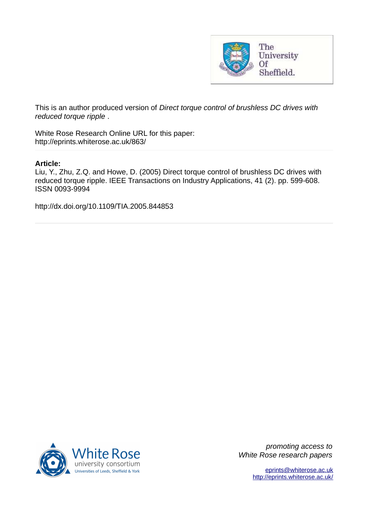

This is an author produced version of Direct torque control of brushless DC drives with reduced torque ripple.

White Rose Research Online URL for this paper: http://eprints.whiterose.ac.uk/863/

## **Article:**

Liu, Y., Zhu, Z.Q. and Howe, D. (2005) Direct torque control of brushless DC drives with reduced torque ripple. IEEE Transactions on Industry Applications, 41 (2). pp. 599-608. ISSN 0093-9994

http://dx.doi.org/10.1109/TIA.2005.844853



promoting access to White Rose research papers

> eprints@whiterose.ac.uk http://eprints.whiterose.ac.uk/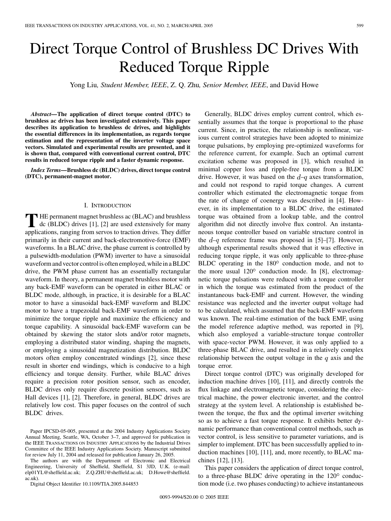## Direct Torque Control of Brushless DC Drives With Reduced Torque Ripple

Yong Liu*, Student Member, IEEE*, Z. Q. Zhu*, Senior Member, IEEE*, and David Howe

*Abstract—***The application of direct torque control (DTC) to brushless ac drives has been investigated extensively. This paper describes its application to brushless dc drives, and highlights the essential differences in its implementation, as regards torque estimation and the representation of the inverter voltage space vectors. Simulated and experimental results are presented, and it is shown that, compared with conventional current control, DTC results in reduced torque ripple and a faster dynamic response.**

*Index Terms—***Brushless dc (BLDC) drives, direct torque control (DTC), permanent-magnet motor.**

## I. INTRODUCTION

The permanent magnet brushless ac (BLAC) and brushless<br>dc (BLDC) drives [\[1](#page--1-0)], [\[2](#page--1-0)] are used extensively for many<br>conditions application compared to traction drives. They different  $\blacksquare$  HE permanent magnet brushless ac (BLAC) and brushless applications, ranging from servos to traction drives. They differ primarily in their current and back-electromotive-force (EMF) waveforms. In a BLAC drive, the phase current is controlled by a pulsewidth-modulation (PWM) inverter to have a sinusoidal waveform and vector control is often employed, while in a BLDC drive, the PWM phase current has an essentially rectangular waveform. In theory, a permanent magnet brushless motor with any back-EMF waveform can be operated in either BLAC or BLDC mode, although, in practice, it is desirable for a BLAC motor to have a sinusoidal back-EMF waveform and BLDC motor to have a trapezoidal back-EMF waveform in order to minimize the torque ripple and maximize the efficiency and torque capability. A sinusoidal back-EMF waveform can be obtained by skewing the stator slots and/or rotor magnets, employing a distributed stator winding, shaping the magnets, or employing a sinusoidal magnetization distribution. BLDC motors often employ concentrated windings [[2\]](#page--1-0), since these result in shorter end windings, which is conducive to a high efficiency and torque density. Further, while BLAC drives require a precision rotor position sensor, such as encoder, BLDC drives only require discrete position sensors, such as Hall devices [\[1](#page--1-0)], [[2\]](#page--1-0). Therefore, in general, BLDC drives are relatively low cost. This paper focuses on the control of such BLDC drives.

The authors are with the Department of Electronic and Electrical Engineering, University of Sheffield, Sheffield, S1 3JD, U.K. (e-mail: elp01YL@sheffield.ac.uk; Z.Q.ZHU@sheffield.ac.uk; D.Howe@sheffield. ac.uk).

Digital Object Identifier 10.1109/TIA.2005.844853

Generally, BLDC drives employ current control, which essentially assumes that the torque is proportional to the phase current. Since, in practice, the relationship is nonlinear, various current control strategies have been adopted to minimize torque pulsations, by employing pre-optimized waveforms for the reference current, for example. Such an optimal current excitation scheme was proposed in [[3\]](#page--1-0), which resulted in minimal copper loss and ripple-free torque from a BLDC drive. However, it was based on the  $d-q$  axes transformation, and could not respond to rapid torque changes. A current controller which estimated the electromagnetic torque from the rate of change of coenergy was described in [\[4](#page--1-0)]. However, in its implementation to a BLDC drive, the estimated torque was obtained from a lookup table, and the control algorithm did not directly involve flux control. An instantaneous torque controller based on variable structure control in the  $d-q$  reference frame was proposed in [\[5](#page--1-0)]–[\[7](#page--1-0)]. However, although experimental results showed that it was effective in reducing torque ripple, it was only applicable to three-phase BLDC operating in the  $180^\circ$  conduction mode, and not to the more usual  $120^{\circ}$  conduction mode. In [[8\]](#page--1-0), electromagnetic torque pulsations were reduced with a torque controller in which the torque was estimated from the product of the instantaneous back-EMF and current. However, the winding resistance was neglected and the inverter output voltage had to be calculated, which assumed that the back-EMF waveform was known. The real-time estimation of the back EMF, using the model reference adaptive method, was reported in [\[9](#page--1-0)], which also employed a variable-structure torque controller with space-vector PWM. However, it was only applied to a three-phase BLAC drive, and resulted in a relatively complex relationship between the output voltage in the  $q$  axis and the torque error.

Direct torque control (DTC) was originally developed for induction machine drives [\[10](#page--1-0)], [\[11](#page--1-0)], and directly controls the flux linkage and electromagnetic torque, considering the electrical machine, the power electronic inverter, and the control strategy at the system level. A relationship is established between the torque, the flux and the optimal inverter switching so as to achieve a fast torque response. It exhibits better dynamic performance than conventional control methods, such as vector control, is less sensitive to parameter variations, and is simpler to implement. DTC has been successfully applied to induction machines [\[10](#page--1-0)], [\[11](#page--1-0)], and, more recently, to BLAC machines [[12\]](#page--1-0), [[13\]](#page--1-0).

This paper considers the application of direct torque control, to a three-phase BLDC drive operating in the  $120^{\circ}$  conduction mode (i.e. two phases conducting) to achieve instantaneous

Paper IPCSD-05-005, presented at the 2004 Industry Applications Society Annual Meeting, Seattle, WA, October 3–7, and approved for publication in the IEEE TRANSACTIONS ON INDUSTRY APPLICATIONS by the Industrial Drives Committee of the IEEE Industry Applications Society. Manuscript submitted for review July 11, 2004 and released for publication January 26, 2005.